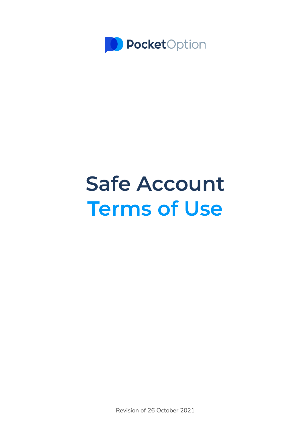

# **Safe Account Terms of Use**

Revision of 26 October 2021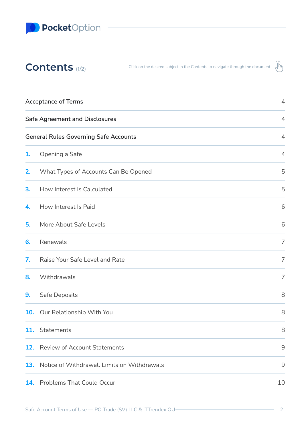

| Contents $(1/2)$                      | Click on the desired subject in the Contents to navigate through the document $\sqrt{m}$ |                |
|---------------------------------------|------------------------------------------------------------------------------------------|----------------|
| <b>Acceptance of Terms</b>            |                                                                                          | $\overline{A}$ |
| <b>Safe Agreement and Disclosures</b> |                                                                                          | $\overline{4}$ |

**General Rules [Governing](#page-3-2) Safe Accounts** [4](#page-3-2)

| 1.  | Opening a Safe                              | $\overline{4}$                                            |
|-----|---------------------------------------------|-----------------------------------------------------------|
| 2.  | What Types of Accounts Can Be Opened        | 5                                                         |
| 3.  | How Interest Is Calculated                  | 5                                                         |
| 4.  | How Interest Is Paid                        | 6                                                         |
| 5.  | More About Safe Levels                      | 6                                                         |
| 6.  | Renewals                                    | $\overline{7}$                                            |
| 7.  | Raise Your Safe Level and Rate              | $\overline{7}$                                            |
| 8.  | Withdrawals                                 | $\overline{7}$                                            |
| 9.  | Safe Deposits                               | 8                                                         |
| 10. | Our Relationship With You                   | 8                                                         |
| 11. | Statements                                  | 8                                                         |
| 12. | <b>Review of Account Statements</b>         | $9$                                                       |
| 13. | Notice of Withdrawal. Limits on Withdrawals | $\mathcal{G}% _{M_{1},M_{2}}^{\alpha,\beta}(\varepsilon)$ |
|     | 14. Problems That Could Occur               | 10                                                        |

 $\frac{1}{\sqrt{2}}$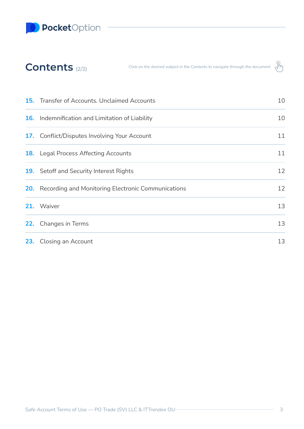**D** PocketOption

# **Contents** (2/2)

Click on the desired subject in the Contents to navigate through the document  $\sqrt{\hat{h}$ 



| <b>15.</b> Transfer of Accounts. Unclaimed Accounts           |    |
|---------------------------------------------------------------|----|
| <b>16.</b> Indemnification and Limitation of Liability        | 10 |
| <b>17.</b> Conflict/Disputes Involving Your Account           | 11 |
| <b>18.</b> Legal Process Affecting Accounts                   | 11 |
| <b>19.</b> Setoff and Security Interest Rights                | 12 |
| <b>20.</b> Recording and Monitoring Electronic Communications | 12 |
| 21. Waiver                                                    | 13 |
| <b>22.</b> Changes in Terms                                   | 13 |
| 23. Closing an Account                                        | 13 |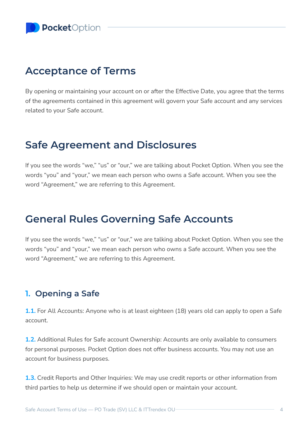# <span id="page-3-0"></span>**Acceptance of Terms**

By opening or maintaining your account on or after the Effective Date, you agree that the terms of the agreements contained in this agreement will govern your Safe account and any services related to your Safe account.

# <span id="page-3-1"></span>**Safe Agreement and Disclosures**

If you see the words "we," "us" or "our," we are talking about Pocket Option. When you see the words "you" and "your," we mean each person who owns a Safe account. When you see the word "Agreement," we are referring to this Agreement.

# <span id="page-3-2"></span>**General Rules Governing Safe Accounts**

If you see the words "we," "us" or "our," we are talking about Pocket Option. When you see the words "you" and "your," we mean each person who owns a Safe account. When you see the word "Agreement," we are referring to this Agreement.

## <span id="page-3-3"></span>**1. Opening a Safe**

**1.1.** For All Accounts: Anyone who is at least eighteen (18) years old can apply to open a Safe account.

**1.2.** Additional Rules for Safe account Ownership: Accounts are only available to consumers for personal purposes. Pocket Option does not offer business accounts. You may not use an account for business purposes.

**1.3.** Credit Reports and Other Inquiries: We may use credit reports or other information from third parties to help us determine if we should open or maintain your account.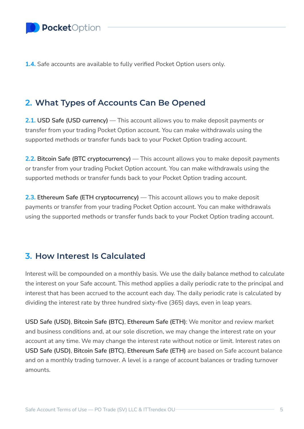**1.4.** Safe accounts are available to fully verified Pocket Option users only.

## <span id="page-4-1"></span>**2. What Types of Accounts Can Be Opened**

**2.1. USD Safe (USD currency)** — This account allows you to make deposit payments or transfer from your trading Pocket Option account. You can make withdrawals using the supported methods or transfer funds back to your Pocket Option trading account.

**2.2. Bitcoin Safe (BTC cryptocurrency)** — This account allows you to make deposit payments or transfer from your trading Pocket Option account. You can make withdrawals using the supported methods or transfer funds back to your Pocket Option trading account.

**2.3. Ethereum Safe (ETH cryptocurrency)** — This account allows you to make deposit payments or transfer from your trading Pocket Option account. You can make withdrawals using the supported methods or transfer funds back to your Pocket Option trading account.

#### <span id="page-4-0"></span>**3. How Interest Is Calculated**

Interest will be compounded on a monthly basis. We use the daily balance method to calculate the interest on your Safe account. This method applies a daily periodic rate to the principal and interest that has been accrued to the account each day. The daily periodic rate is calculated by dividing the interest rate by three hundred sixty-five (365) days, even in leap years.

**USD Safe (USD)**, **Bitcoin Safe (BTC)**, **Ethereum Safe (ETH)**: We monitor and review market and business conditions and, at our sole discretion, we may change the interest rate on your account at any time. We may change the interest rate without notice or limit. Interest rates on **USD Safe (USD)**, **Bitcoin Safe (BTC)**, **Ethereum Safe (ETH)** are based on Safe account balance and on a monthly trading turnover. A level is a range of account balances or trading turnover amounts.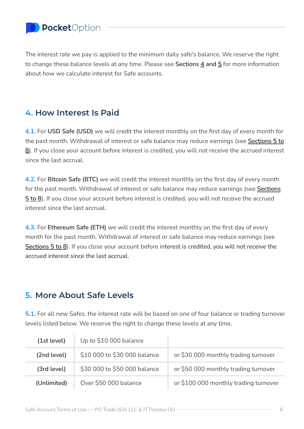

The interest rate we pay is applied to the minimum daily safe's balance. We reserve the right to change these balance levels at any time. Please see **Sections [4](#page-5-0) and [5](#page-5-1)** for more information about how we calculate interest for Safe accounts.

#### <span id="page-5-0"></span>**4. How Interest Is Paid**

**4.1.** For **USD Safe (USD)** we will credit the interest monthly on the first day of every month for the past month. Withdrawal of interest or safe balance may reduce earnings (see **[Sections](#page-5-1) 5 to [8](#page-5-1)**). If you close your account before interest is credited, you will not receive the accrued interest since the last accrual.

**4.2.** For **Bitcoin Safe (BTC)** we will credit the interest monthly on the first day of every month for the past month. Withdrawal of interest or safe balance may reduce earnings (see **[Sections](#page-5-1) 5 [to](#page-5-1) 8**). If you close your account before interest is credited, you will not receive the accrued interest since the last accrual.

**4.3.** For **Ethereum Safe (ETH)** we will credit the interest monthly on the first day of every month for the past month. Withdrawal of interest or safe balance may reduce earnings (see **[Sections](#page-5-1) 5 to 8**). If you close your account before interest is credited, you will not receive the accrued interest since the last accrual.

#### <span id="page-5-1"></span>**5. More About Safe Levels**

**5.1.** For all new Safes, the interest rate will be based on one of four balance or trading turnover levels listed below. We reserve the right to change these levels at any time.

| (1st level) | Up to \$10 000 balance       |                                       |
|-------------|------------------------------|---------------------------------------|
| (2nd level) | \$10 000 to \$30 000 balance | or \$30 000 monthly trading turnover  |
| (3rd level) | \$30 000 to \$50 000 balance | or \$50 000 monthly trading turnover  |
| (Unlimited) | Over \$50 000 balance        | or \$100 000 monthly trading turnover |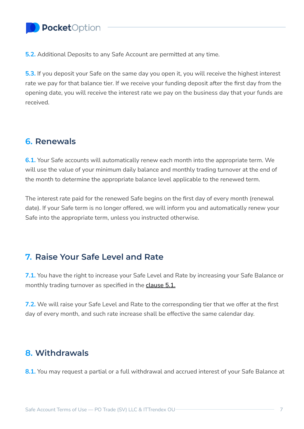# PocketOption

**5.2.** Additional Deposits to any Safe Account are permitted at any time.

**5.3.** If you deposit your Safe on the same day you open it, you will receive the highest interest rate we pay for that balance tier. If we receive your funding deposit after the first day from the opening date, you will receive the interest rate we pay on the business day that your funds are received.

#### <span id="page-6-0"></span>**6. Renewals**

**6.1.** Your Safe accounts will automatically renew each month into the appropriate term. We will use the value of your minimum daily balance and monthly trading turnover at the end of the month to determine the appropriate balance level applicable to the renewed term.

The interest rate paid for the renewed Safe begins on the first day of every month (renewal date). If your Safe term is no longer offered, we will inform you and automatically renew your Safe into the appropriate term, unless you instructed otherwise.

#### <span id="page-6-1"></span>**7. Raise Your Safe Level and Rate**

**7.1.** You have the right to increase your Safe Level and Rate by increasing your Safe Balance or monthly trading turnover as specified in the **[clause](#page-5-1) 5.1.**

**7.2.** We will raise your Safe Level and Rate to the corresponding tier that we offer at the first day of every month, and such rate increase shall be effective the same calendar day.

#### <span id="page-6-2"></span>**8. Withdrawals**

**8.1.** You may request a partial or a full withdrawal and accrued interest of your Safe Balance at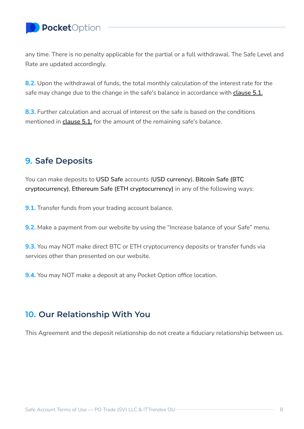# PocketOption

any time. There is no penalty applicable for the partial or a full withdrawal. The Safe Level and Rate are updated accordingly.

**8.2.** Upon the withdrawal of funds, the total monthly calculation of the interest rate for the safe may change due to the change in the safe's balance in accordance with **[clause](#page-5-1) 5.1.**

**8.3.** Further calculation and accrual of interest on the safe is based on the conditions mentioned in **[clause](#page-5-1) 5.1.** for the amount of the remaining safe's balance.

## <span id="page-7-0"></span>**9. Safe Deposits**

You can make deposits to **USD Safe** accounts (**USD currency**), **Bitcoin Safe (BTC cryptocurrency)**, **Ethereum Safe (ETH cryptocurrency)** in any of the following ways:

**9.1.** Transfer funds from your trading account balance.

**9.2.** Make a payment from our website by using the "Increase balance of your Safe" menu.

**9.3.** You may NOT make direct BTC or ETH cryptocurrency deposits or transfer funds via services other than presented on our website.

**9.4.** You may NOT make a deposit at any Pocket Option office location.

#### <span id="page-7-1"></span>**10. Our Relationship With You**

This Agreement and the deposit relationship do not create a fiduciary relationship between us.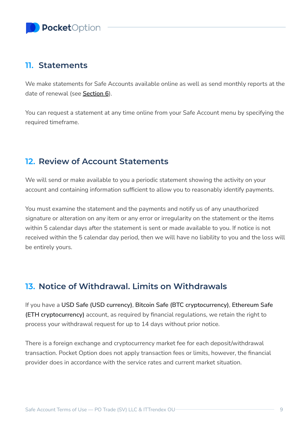#### <span id="page-8-0"></span>**11. Statements**

We make statements for Safe Accounts available online as well as send monthly reports at the date of renewal (see **[Section](#page-6-0) 6**).

You can request a statement at any time online from your Safe Account menu by specifying the required timeframe.

## <span id="page-8-1"></span>**12. Review of Account Statements**

We will send or make available to you a periodic statement showing the activity on your account and containing information sufficient to allow you to reasonably identify payments.

You must examine the statement and the payments and notify us of any unauthorized signature or alteration on any item or any error or irregularity on the statement or the items within 5 calendar days after the statement is sent or made available to you. If notice is not received within the 5 calendar day period, then we will have no liability to you and the loss will be entirely yours.

## <span id="page-8-2"></span>**13. Notice of Withdrawal. Limits on Withdrawals**

If you have a **USD Safe (USD currency)**, **Bitcoin Safe (BTC cryptocurrency)**, **Ethereum Safe (ETH cryptocurrency)** account, as required by financial regulations, we retain the right to process your withdrawal request for up to 14 days without prior notice.

There is a foreign exchange and cryptocurrency market fee for each deposit/withdrawal transaction. Pocket Option does not apply transaction fees or limits, however, the financial provider does in accordance with the service rates and current market situation.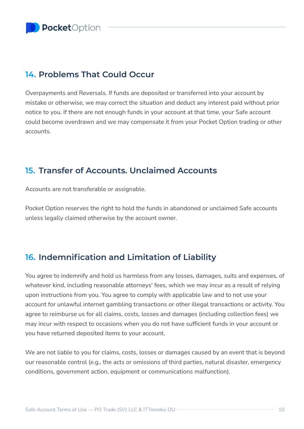## <span id="page-9-0"></span>**14. Problems That Could Occur**

Overpayments and Reversals. If funds are deposited or transferred into your account by mistake or otherwise, we may correct the situation and deduct any interest paid without prior notice to you. If there are not enough funds in your account at that time, your Safe account could become overdrawn and we may compensate it from your Pocket Option trading or other accounts.

#### <span id="page-9-1"></span>**15. Transfer of Accounts. Unclaimed Accounts**

Accounts are not transferable or assignable.

Pocket Option reserves the right to hold the funds in abandoned or unclaimed Safe accounts unless legally claimed otherwise by the account owner.

## <span id="page-9-2"></span>**16. Indemnification and Limitation of Liability**

You agree to indemnify and hold us harmless from any losses, damages, suits and expenses, of whatever kind, including reasonable attorneys' fees, which we may incur as a result of relying upon instructions from you. You agree to comply with applicable law and to not use your account for unlawful internet gambling transactions or other illegal transactions or activity. You agree to reimburse us for all claims, costs, losses and damages (including collection fees) we may incur with respect to occasions when you do not have sufficient funds in your account or you have returned deposited items to your account.

We are not liable to you for claims, costs, losses or damages caused by an event that is beyond our reasonable control (e.g., the acts or omissions of third parties, natural disaster, emergency conditions, government action, equipment or communications malfunction).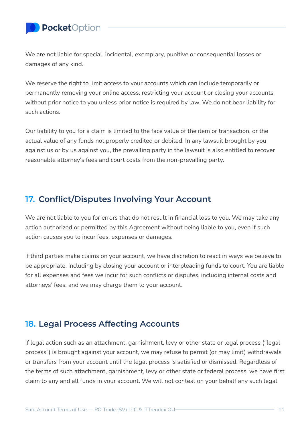## PocketOption

We are not liable for special, incidental, exemplary, punitive or consequential losses or damages of any kind.

We reserve the right to limit access to your accounts which can include temporarily or permanently removing your online access, restricting your account or closing your accounts without prior notice to you unless prior notice is required by law. We do not bear liability for such actions.

Our liability to you for a claim is limited to the face value of the item or transaction, or the actual value of any funds not properly credited or debited. In any lawsuit brought by you against us or by us against you, the prevailing party in the lawsuit is also entitled to recover reasonable attorney's fees and court costs from the non-prevailing party.

#### <span id="page-10-0"></span>**17. Conflict/Disputes Involving Your Account**

We are not liable to you for errors that do not result in financial loss to you. We may take any action authorized or permitted by this Agreement without being liable to you, even if such action causes you to incur fees, expenses or damages.

If third parties make claims on your account, we have discretion to react in ways we believe to be appropriate, including by closing your account or interpleading funds to court. You are liable for all expenses and fees we incur for such conflicts or disputes, including internal costs and attorneys' fees, and we may charge them to your account.

## <span id="page-10-1"></span>**18. Legal Process Affecting Accounts**

If legal action such as an attachment, garnishment, levy or other state or legal process ("legal process") is brought against your account, we may refuse to permit (or may limit) withdrawals or transfers from your account until the legal process is satisfied or dismissed. Regardless of the terms of such attachment, garnishment, levy or other state or federal process, we have first claim to any and all funds in your account. We will not contest on your behalf any such legal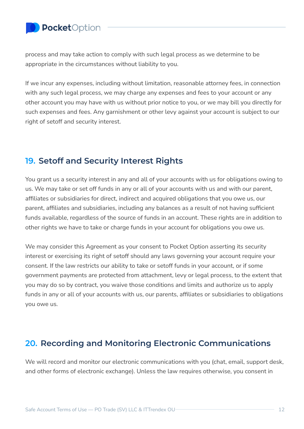

process and may take action to comply with such legal process as we determine to be appropriate in the circumstances without liability to you.

If we incur any expenses, including without limitation, reasonable attorney fees, in connection with any such legal process, we may charge any expenses and fees to your account or any other account you may have with us without prior notice to you, or we may bill you directly for such expenses and fees. Any garnishment or other levy against your account is subject to our right of setoff and security interest.

#### <span id="page-11-0"></span>**19. Setoff and Security Interest Rights**

You grant us a security interest in any and all of your accounts with us for obligations owing to us. We may take or set off funds in any or all of your accounts with us and with our parent, affiliates or subsidiaries for direct, indirect and acquired obligations that you owe us, our parent, affiliates and subsidiaries, including any balances as a result of not having sufficient funds available, regardless of the source of funds in an account. These rights are in addition to other rights we have to take or charge funds in your account for obligations you owe us.

We may consider this Agreement as your consent to Pocket Option asserting its security interest or exercising its right of setoff should any laws governing your account require your consent. If the law restricts our ability to take or setoff funds in your account, or if some government payments are protected from attachment, levy or legal process, to the extent that you may do so by contract, you waive those conditions and limits and authorize us to apply funds in any or all of your accounts with us, our parents, affiliates or subsidiaries to obligations you owe us.

## <span id="page-11-1"></span>**20. Recording and Monitoring Electronic Communications**

We will record and monitor our electronic communications with you (chat, email, support desk, and other forms of electronic exchange). Unless the law requires otherwise, you consent in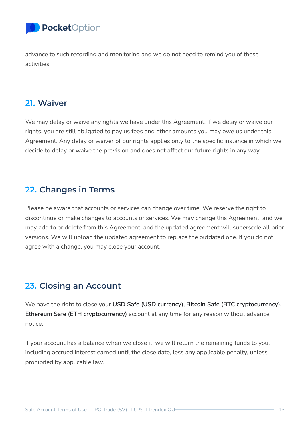PocketOption

advance to such recording and monitoring and we do not need to remind you of these activities.

#### <span id="page-12-0"></span>**21. Waiver**

We may delay or waive any rights we have under this Agreement. If we delay or waive our rights, you are still obligated to pay us fees and other amounts you may owe us under this Agreement. Any delay or waiver of our rights applies only to the specific instance in which we decide to delay or waive the provision and does not affect our future rights in any way.

#### <span id="page-12-1"></span>**22. Changes in Terms**

Please be aware that accounts or services can change over time. We reserve the right to discontinue or make changes to accounts or services. We may change this Agreement, and we may add to or delete from this Agreement, and the updated agreement will supersede all prior versions. We will upload the updated agreement to replace the outdated one. If you do not agree with a change, you may close your account.

#### <span id="page-12-2"></span>**23. Closing an Account**

We have the right to close your **USD Safe (USD currency)**, **Bitcoin Safe (BTC cryptocurrency)**, **Ethereum Safe (ETH cryptocurrency)** account at any time for any reason without advance notice.

If your account has a balance when we close it, we will return the remaining funds to you, including accrued interest earned until the close date, less any applicable penalty, unless prohibited by applicable law.